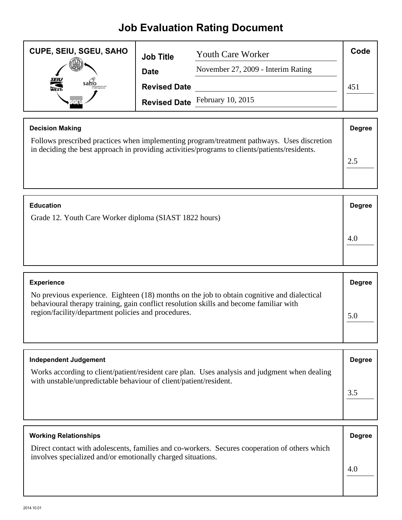## **Job Evaluation Rating Document**

| <b>CUPE, SEIU, SGEU, SAHO</b> | <b>Job Title</b>    | <b>Youth Care Worker</b>           | Code |
|-------------------------------|---------------------|------------------------------------|------|
|                               | <b>Date</b>         | November 27, 2009 - Interim Rating |      |
| <b>SEIU</b><br>WEST-<br>sahc  | <b>Revised Date</b> |                                    | 451  |
|                               |                     | Revised Date February 10, 2015     |      |

| <b>Decision Making</b>                                                                                                                                                                      | <b>Degree</b> |
|---------------------------------------------------------------------------------------------------------------------------------------------------------------------------------------------|---------------|
| Follows prescribed practices when implementing program/treatment pathways. Uses discretion<br>in deciding the best approach in providing activities/programs to clients/patients/residents. |               |
|                                                                                                                                                                                             |               |
|                                                                                                                                                                                             |               |

| <b>Education</b>                                       | <b>Degree</b> |
|--------------------------------------------------------|---------------|
| Grade 12. Youth Care Worker diploma (SIAST 1822 hours) |               |
|                                                        | 4.0           |

| <b>Experience</b>                                                                                                                                                                                                                            | <b>Degree</b> |
|----------------------------------------------------------------------------------------------------------------------------------------------------------------------------------------------------------------------------------------------|---------------|
| No previous experience. Eighteen (18) months on the job to obtain cognitive and dialectical<br>behavioural therapy training, gain conflict resolution skills and become familiar with<br>region/facility/department policies and procedures. |               |

| <b>Independent Judgement</b>                                                                                                                                       | <b>Degree</b> |
|--------------------------------------------------------------------------------------------------------------------------------------------------------------------|---------------|
| Works according to client/patient/resident care plan. Uses analysis and judgment when dealing<br>with unstable/unpredictable behaviour of client/patient/resident. |               |
|                                                                                                                                                                    |               |
|                                                                                                                                                                    |               |

| <b>Working Relationships</b>                                                                                                                                 | <b>Degree</b> |
|--------------------------------------------------------------------------------------------------------------------------------------------------------------|---------------|
| Direct contact with adolescents, families and co-workers. Secures cooperation of others which<br>involves specialized and/or emotionally charged situations. |               |
|                                                                                                                                                              | 4.0           |